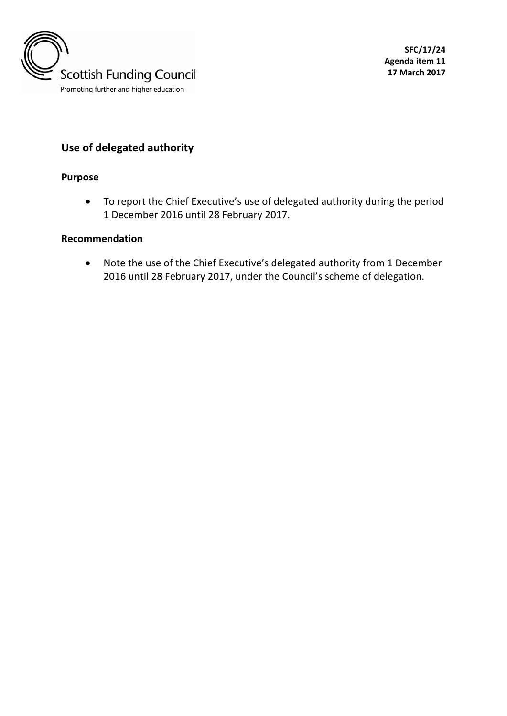

# **Use of delegated authority**

#### **Purpose**

• To report the Chief Executive's use of delegated authority during the period 1 December 2016 until 28 February 2017.

#### **Recommendation**

• Note the use of the Chief Executive's delegated authority from 1 December 2016 until 28 February 2017, under the Council's scheme of delegation.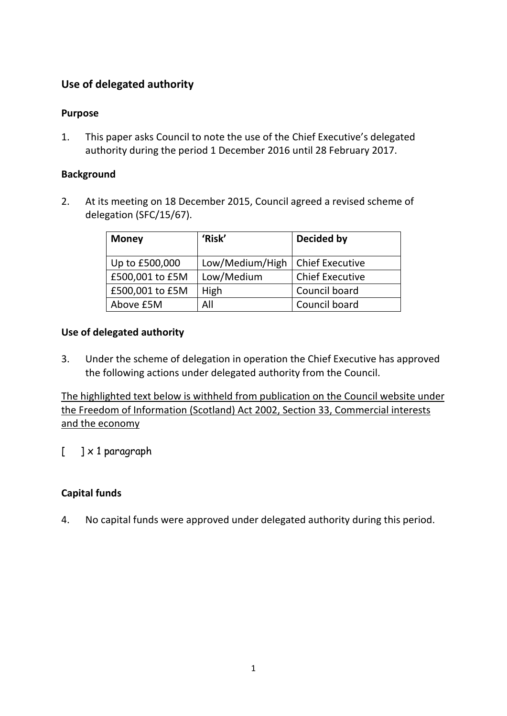## **Use of delegated authority**

### **Purpose**

1. This paper asks Council to note the use of the Chief Executive's delegated authority during the period 1 December 2016 until 28 February 2017.

### **Background**

2. At its meeting on 18 December 2015, Council agreed a revised scheme of delegation (SFC/15/67).

| <b>Money</b>    | 'Risk'          | Decided by             |
|-----------------|-----------------|------------------------|
| Up to £500,000  | Low/Medium/High | <b>Chief Executive</b> |
| £500,001 to £5M | Low/Medium      | <b>Chief Executive</b> |
| £500,001 to £5M | High            | Council board          |
| Above £5M       | All             | Council board          |

### **Use of delegated authority**

3. Under the scheme of delegation in operation the Chief Executive has approved the following actions under delegated authority from the Council.

The highlighted text below is withheld from publication on the Council website under the Freedom of Information (Scotland) Act 2002, Section 33, Commercial interests and the economy

 $\lceil \quad \rceil \times 1$  paragraph

## **Capital funds**

4. No capital funds were approved under delegated authority during this period.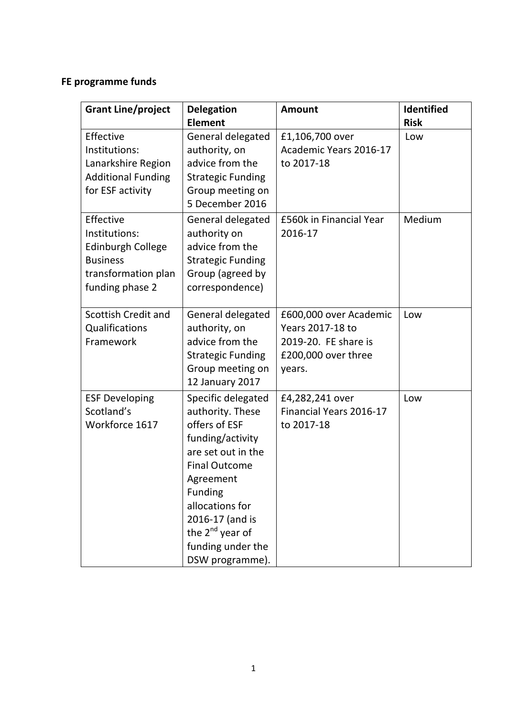# **FE programme funds**

| <b>Grant Line/project</b>                                                                                           | <b>Delegation</b>                                                                                                                                                                                                                                              | <b>Amount</b>                                                                                       | Identified         |
|---------------------------------------------------------------------------------------------------------------------|----------------------------------------------------------------------------------------------------------------------------------------------------------------------------------------------------------------------------------------------------------------|-----------------------------------------------------------------------------------------------------|--------------------|
| Effective<br>Institutions:<br>Lanarkshire Region<br><b>Additional Funding</b><br>for ESF activity                   | <b>Element</b><br>General delegated<br>authority, on<br>advice from the<br><b>Strategic Funding</b><br>Group meeting on<br>5 December 2016                                                                                                                     | £1,106,700 over<br>Academic Years 2016-17<br>to 2017-18                                             | <b>Risk</b><br>Low |
| Effective<br>Institutions:<br><b>Edinburgh College</b><br><b>Business</b><br>transformation plan<br>funding phase 2 | General delegated<br>authority on<br>advice from the<br><b>Strategic Funding</b><br>Group (agreed by<br>correspondence)                                                                                                                                        | £560k in Financial Year<br>2016-17                                                                  | Medium             |
| Scottish Credit and<br>Qualifications<br>Framework                                                                  | General delegated<br>authority, on<br>advice from the<br><b>Strategic Funding</b><br>Group meeting on<br>12 January 2017                                                                                                                                       | £600,000 over Academic<br>Years 2017-18 to<br>2019-20. FE share is<br>£200,000 over three<br>years. | Low                |
| <b>ESF Developing</b><br>Scotland's<br>Workforce 1617                                                               | Specific delegated<br>authority. These<br>offers of ESF<br>funding/activity<br>are set out in the<br><b>Final Outcome</b><br>Agreement<br><b>Funding</b><br>allocations for<br>2016-17 (and is<br>the $2^{nd}$ year of<br>funding under the<br>DSW programme). | £4,282,241 over<br>Financial Years 2016-17<br>to 2017-18                                            | Low                |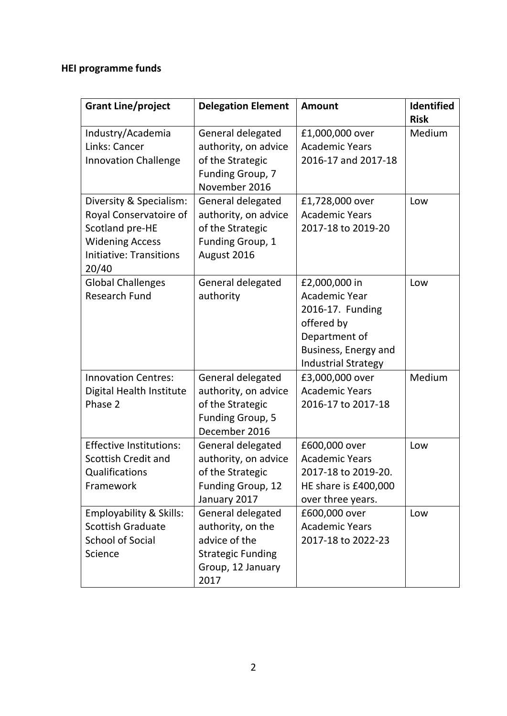# **HEI programme funds**

| <b>Grant Line/project</b>                                                                                                                 | <b>Delegation Element</b>                                                                                        | <b>Amount</b>                                                                                                                                  | Identified<br><b>Risk</b> |
|-------------------------------------------------------------------------------------------------------------------------------------------|------------------------------------------------------------------------------------------------------------------|------------------------------------------------------------------------------------------------------------------------------------------------|---------------------------|
| Industry/Academia<br>Links: Cancer<br><b>Innovation Challenge</b>                                                                         | General delegated<br>authority, on advice<br>of the Strategic<br>Funding Group, 7<br>November 2016               | £1,000,000 over<br><b>Academic Years</b><br>2016-17 and 2017-18                                                                                | Medium                    |
| Diversity & Specialism:<br>Royal Conservatoire of<br>Scotland pre-HE<br><b>Widening Access</b><br><b>Initiative: Transitions</b><br>20/40 | General delegated<br>authority, on advice<br>of the Strategic<br>Funding Group, 1<br>August 2016                 | £1,728,000 over<br><b>Academic Years</b><br>2017-18 to 2019-20                                                                                 | Low                       |
| <b>Global Challenges</b><br><b>Research Fund</b>                                                                                          | General delegated<br>authority                                                                                   | £2,000,000 in<br><b>Academic Year</b><br>2016-17. Funding<br>offered by<br>Department of<br>Business, Energy and<br><b>Industrial Strategy</b> | Low                       |
| <b>Innovation Centres:</b><br>Digital Health Institute<br>Phase 2                                                                         | General delegated<br>authority, on advice<br>of the Strategic<br>Funding Group, 5<br>December 2016               | £3,000,000 over<br><b>Academic Years</b><br>2016-17 to 2017-18                                                                                 | Medium                    |
| <b>Effective Institutions:</b><br>Scottish Credit and<br>Qualifications<br>Framework                                                      | General delegated<br>authority, on advice<br>of the Strategic<br>Funding Group, 12<br>January 2017               | £600,000 over<br><b>Academic Years</b><br>2017-18 to 2019-20.<br>HE share is £400,000<br>over three years.                                     | Low                       |
| <b>Employability &amp; Skills:</b><br><b>Scottish Graduate</b><br><b>School of Social</b><br>Science                                      | General delegated<br>authority, on the<br>advice of the<br><b>Strategic Funding</b><br>Group, 12 January<br>2017 | £600,000 over<br><b>Academic Years</b><br>2017-18 to 2022-23                                                                                   | Low                       |